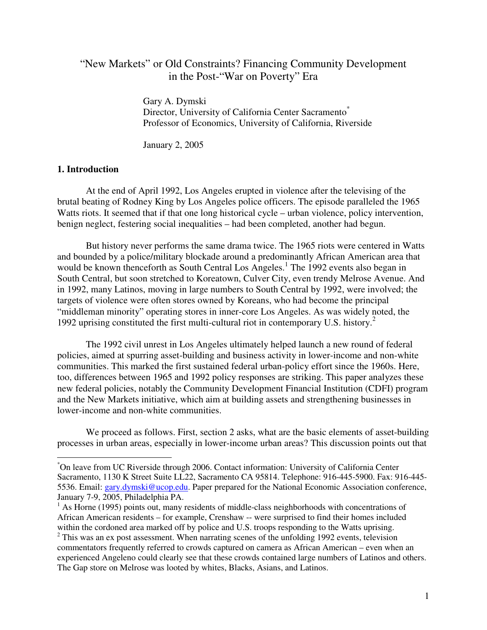# "New Markets" or Old Constraints? Financing Community Development in the Post-"War on Poverty" Era

Gary A. Dymski Director, University of California Center Sacramento\* Professor of Economics, University of California, Riverside

January 2, 2005

#### **1. Introduction**

 $\overline{a}$ 

At the end of April 1992, Los Angeles erupted in violence after the televising of the brutal beating of Rodney King by Los Angeles police officers. The episode paralleled the 1965 Watts riots. It seemed that if that one long historical cycle – urban violence, policy intervention, benign neglect, festering social inequalities – had been completed, another had begun.

But history never performs the same drama twice. The 1965 riots were centered in Watts and bounded by a police/military blockade around a predominantly African American area that would be known thenceforth as South Central Los Angeles.<sup>1</sup> The 1992 events also began in South Central, but soon stretched to Koreatown, Culver City, even trendy Melrose Avenue. And in 1992, many Latinos, moving in large numbers to South Central by 1992, were involved; the targets of violence were often stores owned by Koreans, who had become the principal "middleman minority" operating stores in inner-core Los Angeles. As was widely noted, the 1992 uprising constituted the first multi-cultural riot in contemporary U.S. history. 2

The 1992 civil unrest in Los Angeles ultimately helped launch a new round of federal policies, aimed at spurring asset-building and business activity in lower-income and non-white communities. This marked the first sustained federal urban-policy effort since the 1960s. Here, too, differences between 1965 and 1992 policy responses are striking. This paper analyzes these new federal policies, notably the Community Development Financial Institution (CDFI) program and the New Markets initiative, which aim at building assets and strengthening businesses in lower-income and non-white communities.

We proceed as follows. First, section 2 asks, what are the basic elements of asset-building processes in urban areas, especially in lower-income urban areas? This discussion points out that

<sup>\*</sup>On leave from UC Riverside through 2006. Contact information: University of California Center Sacramento, 1130 K Street Suite LL22, Sacramento CA 95814. Telephone: 916-445-5900. Fax: 916-445- 5536. Email: gary.dymski@ucop.edu. Paper prepared for the National Economic Association conference, January 7-9, 2005, Philadelphia PA.

<sup>&</sup>lt;sup>1</sup> As Horne (1995) points out, many residents of middle-class neighborhoods with concentrations of African American residents – for example, Crenshaw -- were surprised to find their homes included within the cordoned area marked off by police and U.S. troops responding to the Watts uprising.

<sup>&</sup>lt;sup>2</sup> This was an ex post assessment. When narrating scenes of the unfolding 1992 events, television commentators frequently referred to crowds captured on camera as African American – even when an experienced Angeleno could clearly see that these crowds contained large numbers of Latinos and others. The Gap store on Melrose was looted by whites, Blacks, Asians, and Latinos.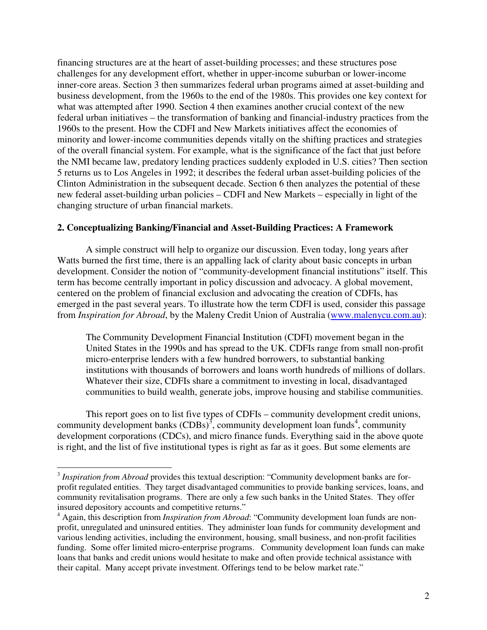financing structures are at the heart of asset-building processes; and these structures pose challenges for any development effort, whether in upper-income suburban or lower-income inner-core areas. Section 3 then summarizes federal urban programs aimed at asset-building and business development, from the 1960s to the end of the 1980s. This provides one key context for what was attempted after 1990. Section 4 then examines another crucial context of the new federal urban initiatives – the transformation of banking and financial-industry practices from the 1960s to the present. How the CDFI and New Markets initiatives affect the economies of minority and lower-income communities depends vitally on the shifting practices and strategies of the overall financial system. For example, what is the significance of the fact that just before the NMI became law, predatory lending practices suddenly exploded in U.S. cities? Then section 5 returns us to Los Angeles in 1992; it describes the federal urban asset-building policies of the Clinton Administration in the subsequent decade. Section 6 then analyzes the potential of these new federal asset-building urban policies – CDFI and New Markets – especially in light of the changing structure of urban financial markets.

## **2. Conceptualizing Banking/Financial and Asset-Building Practices: A Framework**

 A simple construct will help to organize our discussion. Even today, long years after Watts burned the first time, there is an appalling lack of clarity about basic concepts in urban development. Consider the notion of "community-development financial institutions" itself. This term has become centrally important in policy discussion and advocacy. A global movement, centered on the problem of financial exclusion and advocating the creation of CDFIs, has emerged in the past several years. To illustrate how the term CDFI is used, consider this passage from *Inspiration for Abroad*, by the Maleny Credit Union of Australia (www.malenycu.com.au):

The Community Development Financial Institution (CDFI) movement began in the United States in the 1990s and has spread to the UK. CDFIs range from small non-profit micro-enterprise lenders with a few hundred borrowers, to substantial banking institutions with thousands of borrowers and loans worth hundreds of millions of dollars. Whatever their size, CDFIs share a commitment to investing in local, disadvantaged communities to build wealth, generate jobs, improve housing and stabilise communities.

 This report goes on to list five types of CDFIs – community development credit unions, community development banks  $(CDBs)^3$ , community development loan funds<sup>4</sup>, community development corporations (CDCs), and micro finance funds. Everything said in the above quote is right, and the list of five institutional types is right as far as it goes. But some elements are

<sup>&</sup>lt;sup>3</sup> Inspiration from Abroad provides this textual description: "Community development banks are forprofit regulated entities. They target disadvantaged communities to provide banking services, loans, and community revitalisation programs. There are only a few such banks in the United States. They offer insured depository accounts and competitive returns."

<sup>4</sup> Again, this description from *Inspiration from Abroad*: "Community development loan funds are nonprofit, unregulated and uninsured entities. They administer loan funds for community development and various lending activities, including the environment, housing, small business, and non-profit facilities funding. Some offer limited micro-enterprise programs. Community development loan funds can make loans that banks and credit unions would hesitate to make and often provide technical assistance with their capital. Many accept private investment. Offerings tend to be below market rate."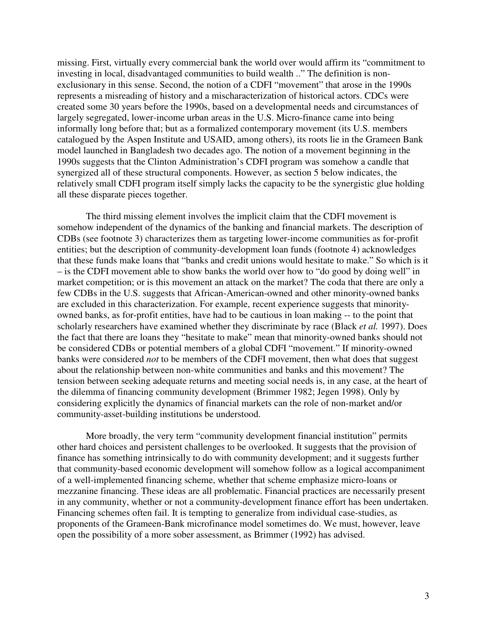missing. First, virtually every commercial bank the world over would affirm its "commitment to investing in local, disadvantaged communities to build wealth .." The definition is nonexclusionary in this sense. Second, the notion of a CDFI "movement" that arose in the 1990s represents a misreading of history and a mischaracterization of historical actors. CDCs were created some 30 years before the 1990s, based on a developmental needs and circumstances of largely segregated, lower-income urban areas in the U.S. Micro-finance came into being informally long before that; but as a formalized contemporary movement (its U.S. members catalogued by the Aspen Institute and USAID, among others), its roots lie in the Grameen Bank model launched in Bangladesh two decades ago. The notion of a movement beginning in the 1990s suggests that the Clinton Administration's CDFI program was somehow a candle that synergized all of these structural components. However, as section 5 below indicates, the relatively small CDFI program itself simply lacks the capacity to be the synergistic glue holding all these disparate pieces together.

 The third missing element involves the implicit claim that the CDFI movement is somehow independent of the dynamics of the banking and financial markets. The description of CDBs (see footnote 3) characterizes them as targeting lower-income communities as for-profit entities; but the description of community-development loan funds (footnote 4) acknowledges that these funds make loans that "banks and credit unions would hesitate to make." So which is it – is the CDFI movement able to show banks the world over how to "do good by doing well" in market competition; or is this movement an attack on the market? The coda that there are only a few CDBs in the U.S. suggests that African-American-owned and other minority-owned banks are excluded in this characterization. For example, recent experience suggests that minorityowned banks, as for-profit entities, have had to be cautious in loan making -- to the point that scholarly researchers have examined whether they discriminate by race (Black *et al.* 1997). Does the fact that there are loans they "hesitate to make" mean that minority-owned banks should not be considered CDBs or potential members of a global CDFI "movement." If minority-owned banks were considered *not* to be members of the CDFI movement, then what does that suggest about the relationship between non-white communities and banks and this movement? The tension between seeking adequate returns and meeting social needs is, in any case, at the heart of the dilemma of financing community development (Brimmer 1982; Jegen 1998). Only by considering explicitly the dynamics of financial markets can the role of non-market and/or community-asset-building institutions be understood.

More broadly, the very term "community development financial institution" permits other hard choices and persistent challenges to be overlooked. It suggests that the provision of finance has something intrinsically to do with community development; and it suggests further that community-based economic development will somehow follow as a logical accompaniment of a well-implemented financing scheme, whether that scheme emphasize micro-loans or mezzanine financing. These ideas are all problematic. Financial practices are necessarily present in any community, whether or not a community-development finance effort has been undertaken. Financing schemes often fail. It is tempting to generalize from individual case-studies, as proponents of the Grameen-Bank microfinance model sometimes do. We must, however, leave open the possibility of a more sober assessment, as Brimmer (1992) has advised.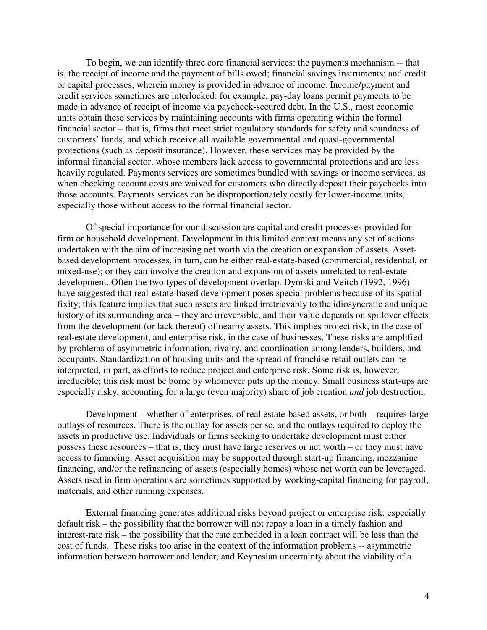To begin, we can identify three core financial services: the payments mechanism -- that is, the receipt of income and the payment of bills owed; financial savings instruments; and credit or capital processes, wherein money is provided in advance of income. Income/payment and credit services sometimes are interlocked: for example, pay-day loans permit payments to be made in advance of receipt of income via paycheck-secured debt. In the U.S., most economic units obtain these services by maintaining accounts with firms operating within the formal financial sector – that is, firms that meet strict regulatory standards for safety and soundness of customers' funds, and which receive all available governmental and quasi-governmental protections (such as deposit insurance). However, these services may be provided by the informal financial sector, whose members lack access to governmental protections and are less heavily regulated. Payments services are sometimes bundled with savings or income services, as when checking account costs are waived for customers who directly deposit their paychecks into those accounts. Payments services can be disproportionately costly for lower-income units, especially those without access to the formal financial sector.

Of special importance for our discussion are capital and credit processes provided for firm or household development. Development in this limited context means any set of actions undertaken with the aim of increasing net worth via the creation or expansion of assets. Assetbased development processes, in turn, can be either real-estate-based (commercial, residential, or mixed-use); or they can involve the creation and expansion of assets unrelated to real-estate development. Often the two types of development overlap. Dymski and Veitch (1992, 1996) have suggested that real-estate-based development poses special problems because of its spatial fixity; this feature implies that such assets are linked irretrievably to the idiosyncratic and unique history of its surrounding area – they are irreversible, and their value depends on spillover effects from the development (or lack thereof) of nearby assets. This implies project risk, in the case of real-estate development, and enterprise risk, in the case of businesses. These risks are amplified by problems of asymmetric information, rivalry, and coordination among lenders, builders, and occupants. Standardization of housing units and the spread of franchise retail outlets can be interpreted, in part, as efforts to reduce project and enterprise risk. Some risk is, however, irreducible; this risk must be borne by whomever puts up the money. Small business start-ups are especially risky, accounting for a large (even majority) share of job creation *and* job destruction.

Development – whether of enterprises, of real estate-based assets, or both – requires large outlays of resources. There is the outlay for assets per se, and the outlays required to deploy the assets in productive use. Individuals or firms seeking to undertake development must either possess these resources – that is, they must have large reserves or net worth – or they must have access to financing. Asset acquisition may be supported through start-up financing, mezzanine financing, and/or the refinancing of assets (especially homes) whose net worth can be leveraged. Assets used in firm operations are sometimes supported by working-capital financing for payroll, materials, and other running expenses.

External financing generates additional risks beyond project or enterprise risk: especially default risk – the possibility that the borrower will not repay a loan in a timely fashion and interest-rate risk – the possibility that the rate embedded in a loan contract will be less than the cost of funds. These risks too arise in the context of the information problems -- asymmetric information between borrower and lender, and Keynesian uncertainty about the viability of a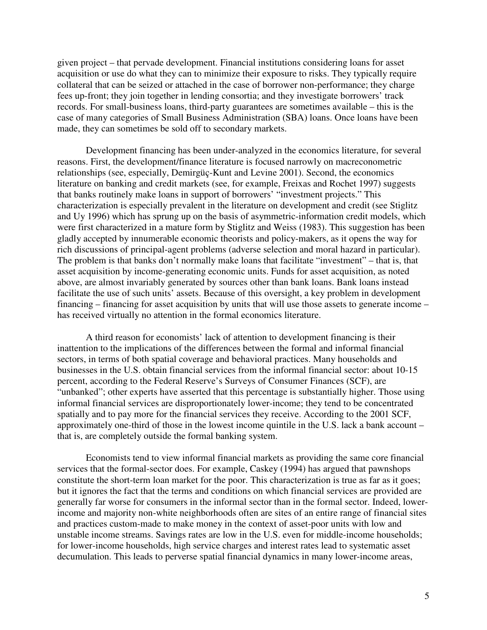given project – that pervade development. Financial institutions considering loans for asset acquisition or use do what they can to minimize their exposure to risks. They typically require collateral that can be seized or attached in the case of borrower non-performance; they charge fees up-front; they join together in lending consortia; and they investigate borrowers' track records. For small-business loans, third-party guarantees are sometimes available – this is the case of many categories of Small Business Administration (SBA) loans. Once loans have been made, they can sometimes be sold off to secondary markets.

Development financing has been under-analyzed in the economics literature, for several reasons. First, the development/finance literature is focused narrowly on macreconometric relationships (see, especially, Demirgüç-Kunt and Levine 2001). Second, the economics literature on banking and credit markets (see, for example, Freixas and Rochet 1997) suggests that banks routinely make loans in support of borrowers' "investment projects." This characterization is especially prevalent in the literature on development and credit (see Stiglitz and Uy 1996) which has sprung up on the basis of asymmetric-information credit models, which were first characterized in a mature form by Stiglitz and Weiss (1983). This suggestion has been gladly accepted by innumerable economic theorists and policy-makers, as it opens the way for rich discussions of principal-agent problems (adverse selection and moral hazard in particular). The problem is that banks don't normally make loans that facilitate "investment" – that is, that asset acquisition by income-generating economic units. Funds for asset acquisition, as noted above, are almost invariably generated by sources other than bank loans. Bank loans instead facilitate the use of such units' assets. Because of this oversight, a key problem in development financing – financing for asset acquisition by units that will use those assets to generate income – has received virtually no attention in the formal economics literature.

 A third reason for economists' lack of attention to development financing is their inattention to the implications of the differences between the formal and informal financial sectors, in terms of both spatial coverage and behavioral practices. Many households and businesses in the U.S. obtain financial services from the informal financial sector: about 10-15 percent, according to the Federal Reserve's Surveys of Consumer Finances (SCF), are "unbanked"; other experts have asserted that this percentage is substantially higher. Those using informal financial services are disproportionately lower-income; they tend to be concentrated spatially and to pay more for the financial services they receive. According to the 2001 SCF, approximately one-third of those in the lowest income quintile in the U.S. lack a bank account – that is, are completely outside the formal banking system.

Economists tend to view informal financial markets as providing the same core financial services that the formal-sector does. For example, Caskey (1994) has argued that pawnshops constitute the short-term loan market for the poor. This characterization is true as far as it goes; but it ignores the fact that the terms and conditions on which financial services are provided are generally far worse for consumers in the informal sector than in the formal sector. Indeed, lowerincome and majority non-white neighborhoods often are sites of an entire range of financial sites and practices custom-made to make money in the context of asset-poor units with low and unstable income streams. Savings rates are low in the U.S. even for middle-income households; for lower-income households, high service charges and interest rates lead to systematic asset decumulation. This leads to perverse spatial financial dynamics in many lower-income areas,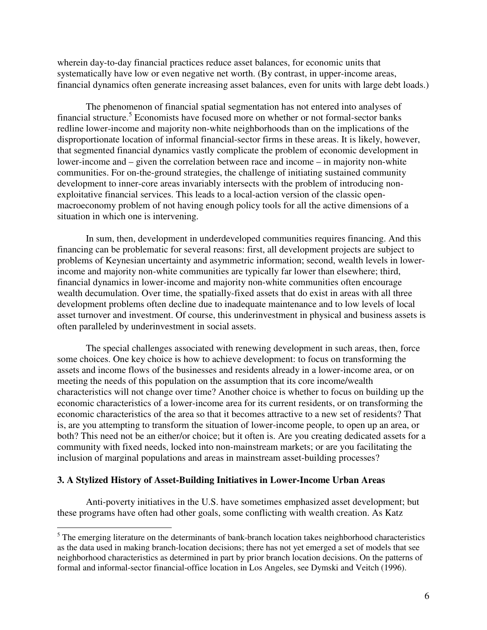wherein day-to-day financial practices reduce asset balances, for economic units that systematically have low or even negative net worth. (By contrast, in upper-income areas, financial dynamics often generate increasing asset balances, even for units with large debt loads.)

The phenomenon of financial spatial segmentation has not entered into analyses of financial structure.<sup>5</sup> Economists have focused more on whether or not formal-sector banks redline lower-income and majority non-white neighborhoods than on the implications of the disproportionate location of informal financial-sector firms in these areas. It is likely, however, that segmented financial dynamics vastly complicate the problem of economic development in lower-income and – given the correlation between race and income – in majority non-white communities. For on-the-ground strategies, the challenge of initiating sustained community development to inner-core areas invariably intersects with the problem of introducing nonexploitative financial services. This leads to a local-action version of the classic openmacroeconomy problem of not having enough policy tools for all the active dimensions of a situation in which one is intervening.

In sum, then, development in underdeveloped communities requires financing. And this financing can be problematic for several reasons: first, all development projects are subject to problems of Keynesian uncertainty and asymmetric information; second, wealth levels in lowerincome and majority non-white communities are typically far lower than elsewhere; third, financial dynamics in lower-income and majority non-white communities often encourage wealth decumulation. Over time, the spatially-fixed assets that do exist in areas with all three development problems often decline due to inadequate maintenance and to low levels of local asset turnover and investment. Of course, this underinvestment in physical and business assets is often paralleled by underinvestment in social assets.

The special challenges associated with renewing development in such areas, then, force some choices. One key choice is how to achieve development: to focus on transforming the assets and income flows of the businesses and residents already in a lower-income area, or on meeting the needs of this population on the assumption that its core income/wealth characteristics will not change over time? Another choice is whether to focus on building up the economic characteristics of a lower-income area for its current residents, or on transforming the economic characteristics of the area so that it becomes attractive to a new set of residents? That is, are you attempting to transform the situation of lower-income people, to open up an area, or both? This need not be an either/or choice; but it often is. Are you creating dedicated assets for a community with fixed needs, locked into non-mainstream markets; or are you facilitating the inclusion of marginal populations and areas in mainstream asset-building processes?

#### **3. A Stylized History of Asset-Building Initiatives in Lower-Income Urban Areas**

 $\overline{a}$ 

 Anti-poverty initiatives in the U.S. have sometimes emphasized asset development; but these programs have often had other goals, some conflicting with wealth creation. As Katz

 $<sup>5</sup>$  The emerging literature on the determinants of bank-branch location takes neighborhood characteristics</sup> as the data used in making branch-location decisions; there has not yet emerged a set of models that see neighborhood characteristics as determined in part by prior branch location decisions. On the patterns of formal and informal-sector financial-office location in Los Angeles, see Dymski and Veitch (1996).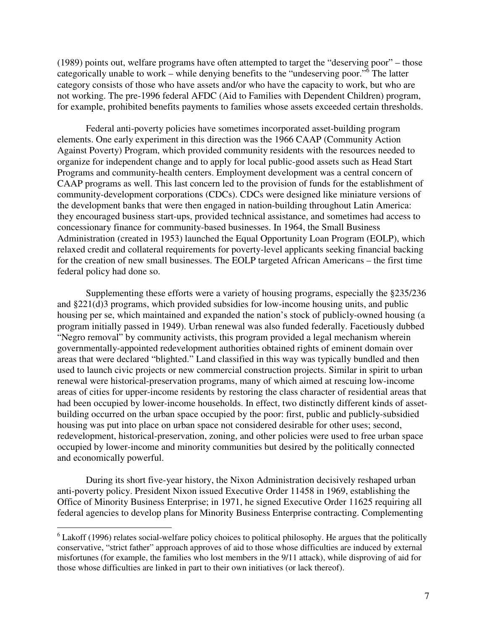(1989) points out, welfare programs have often attempted to target the "deserving poor" – those categorically unable to work – while denying benefits to the "undeserving poor." $\overline{6}$  The latter category consists of those who have assets and/or who have the capacity to work, but who are not working. The pre-1996 federal AFDC (Aid to Families with Dependent Children) program, for example, prohibited benefits payments to families whose assets exceeded certain thresholds.

Federal anti-poverty policies have sometimes incorporated asset-building program elements. One early experiment in this direction was the 1966 CAAP (Community Action Against Poverty) Program, which provided community residents with the resources needed to organize for independent change and to apply for local public-good assets such as Head Start Programs and community-health centers. Employment development was a central concern of CAAP programs as well. This last concern led to the provision of funds for the establishment of community-development corporations (CDCs). CDCs were designed like miniature versions of the development banks that were then engaged in nation-building throughout Latin America: they encouraged business start-ups, provided technical assistance, and sometimes had access to concessionary finance for community-based businesses. In 1964, the Small Business Administration (created in 1953) launched the Equal Opportunity Loan Program (EOLP), which relaxed credit and collateral requirements for poverty-level applicants seeking financial backing for the creation of new small businesses. The EOLP targeted African Americans – the first time federal policy had done so.

Supplementing these efforts were a variety of housing programs, especially the §235/236 and §221(d)3 programs, which provided subsidies for low-income housing units, and public housing per se, which maintained and expanded the nation's stock of publicly-owned housing (a program initially passed in 1949). Urban renewal was also funded federally. Facetiously dubbed "Negro removal" by community activists, this program provided a legal mechanism wherein governmentally-appointed redevelopment authorities obtained rights of eminent domain over areas that were declared "blighted." Land classified in this way was typically bundled and then used to launch civic projects or new commercial construction projects. Similar in spirit to urban renewal were historical-preservation programs, many of which aimed at rescuing low-income areas of cities for upper-income residents by restoring the class character of residential areas that had been occupied by lower-income households. In effect, two distinctly different kinds of assetbuilding occurred on the urban space occupied by the poor: first, public and publicly-subsidied housing was put into place on urban space not considered desirable for other uses; second, redevelopment, historical-preservation, zoning, and other policies were used to free urban space occupied by lower-income and minority communities but desired by the politically connected and economically powerful.

During its short five-year history, the Nixon Administration decisively reshaped urban anti-poverty policy. President Nixon issued Executive Order 11458 in 1969, establishing the Office of Minority Business Enterprise; in 1971, he signed Executive Order 11625 requiring all federal agencies to develop plans for Minority Business Enterprise contracting. Complementing

 $6$  Lakoff (1996) relates social-welfare policy choices to political philosophy. He argues that the politically conservative, "strict father" approach approves of aid to those whose difficulties are induced by external misfortunes (for example, the families who lost members in the 9/11 attack), while disproving of aid for those whose difficulties are linked in part to their own initiatives (or lack thereof).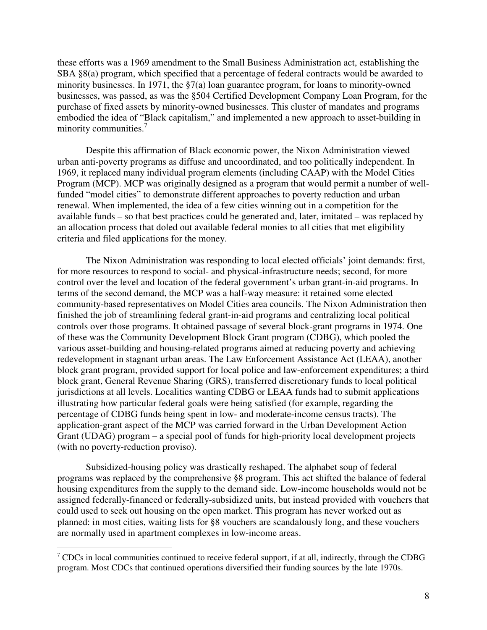these efforts was a 1969 amendment to the Small Business Administration act, establishing the SBA §8(a) program, which specified that a percentage of federal contracts would be awarded to minority businesses. In 1971, the §7(a) loan guarantee program, for loans to minority-owned businesses, was passed, as was the §504 Certified Development Company Loan Program, for the purchase of fixed assets by minority-owned businesses. This cluster of mandates and programs embodied the idea of "Black capitalism," and implemented a new approach to asset-building in minority communities.<sup>7</sup>

Despite this affirmation of Black economic power, the Nixon Administration viewed urban anti-poverty programs as diffuse and uncoordinated, and too politically independent. In 1969, it replaced many individual program elements (including CAAP) with the Model Cities Program (MCP). MCP was originally designed as a program that would permit a number of wellfunded "model cities" to demonstrate different approaches to poverty reduction and urban renewal. When implemented, the idea of a few cities winning out in a competition for the available funds – so that best practices could be generated and, later, imitated – was replaced by an allocation process that doled out available federal monies to all cities that met eligibility criteria and filed applications for the money.

The Nixon Administration was responding to local elected officials' joint demands: first, for more resources to respond to social- and physical-infrastructure needs; second, for more control over the level and location of the federal government's urban grant-in-aid programs. In terms of the second demand, the MCP was a half-way measure: it retained some elected community-based representatives on Model Cities area councils. The Nixon Administration then finished the job of streamlining federal grant-in-aid programs and centralizing local political controls over those programs. It obtained passage of several block-grant programs in 1974. One of these was the Community Development Block Grant program (CDBG), which pooled the various asset-building and housing-related programs aimed at reducing poverty and achieving redevelopment in stagnant urban areas. The Law Enforcement Assistance Act (LEAA), another block grant program, provided support for local police and law-enforcement expenditures; a third block grant, General Revenue Sharing (GRS), transferred discretionary funds to local political jurisdictions at all levels. Localities wanting CDBG or LEAA funds had to submit applications illustrating how particular federal goals were being satisfied (for example, regarding the percentage of CDBG funds being spent in low- and moderate-income census tracts). The application-grant aspect of the MCP was carried forward in the Urban Development Action Grant (UDAG) program – a special pool of funds for high-priority local development projects (with no poverty-reduction proviso).

Subsidized-housing policy was drastically reshaped. The alphabet soup of federal programs was replaced by the comprehensive §8 program. This act shifted the balance of federal housing expenditures from the supply to the demand side. Low-income households would not be assigned federally-financed or federally-subsidized units, but instead provided with vouchers that could used to seek out housing on the open market. This program has never worked out as planned: in most cities, waiting lists for §8 vouchers are scandalously long, and these vouchers are normally used in apartment complexes in low-income areas.

 $7$  CDCs in local communities continued to receive federal support, if at all, indirectly, through the CDBG program. Most CDCs that continued operations diversified their funding sources by the late 1970s.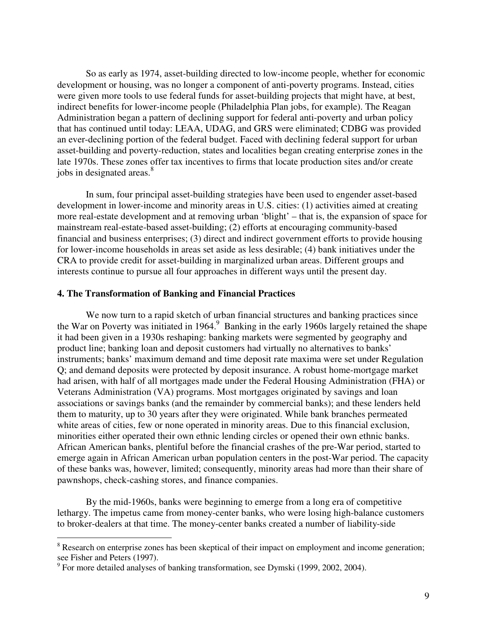So as early as 1974, asset-building directed to low-income people, whether for economic development or housing, was no longer a component of anti-poverty programs. Instead, cities were given more tools to use federal funds for asset-building projects that might have, at best, indirect benefits for lower-income people (Philadelphia Plan jobs, for example). The Reagan Administration began a pattern of declining support for federal anti-poverty and urban policy that has continued until today: LEAA, UDAG, and GRS were eliminated; CDBG was provided an ever-declining portion of the federal budget. Faced with declining federal support for urban asset-building and poverty-reduction, states and localities began creating enterprise zones in the late 1970s. These zones offer tax incentives to firms that locate production sites and/or create jobs in designated areas.<sup>8</sup>

 In sum, four principal asset-building strategies have been used to engender asset-based development in lower-income and minority areas in U.S. cities: (1) activities aimed at creating more real-estate development and at removing urban 'blight' – that is, the expansion of space for mainstream real-estate-based asset-building; (2) efforts at encouraging community-based financial and business enterprises; (3) direct and indirect government efforts to provide housing for lower-income households in areas set aside as less desirable; (4) bank initiatives under the CRA to provide credit for asset-building in marginalized urban areas. Different groups and interests continue to pursue all four approaches in different ways until the present day.

### **4. The Transformation of Banking and Financial Practices**

We now turn to a rapid sketch of urban financial structures and banking practices since the War on Poverty was initiated in 1964.<sup>9</sup> Banking in the early 1960s largely retained the shape it had been given in a 1930s reshaping: banking markets were segmented by geography and product line; banking loan and deposit customers had virtually no alternatives to banks' instruments; banks' maximum demand and time deposit rate maxima were set under Regulation Q; and demand deposits were protected by deposit insurance. A robust home-mortgage market had arisen, with half of all mortgages made under the Federal Housing Administration (FHA) or Veterans Administration (VA) programs. Most mortgages originated by savings and loan associations or savings banks (and the remainder by commercial banks); and these lenders held them to maturity, up to 30 years after they were originated. While bank branches permeated white areas of cities, few or none operated in minority areas. Due to this financial exclusion, minorities either operated their own ethnic lending circles or opened their own ethnic banks. African American banks, plentiful before the financial crashes of the pre-War period, started to emerge again in African American urban population centers in the post-War period. The capacity of these banks was, however, limited; consequently, minority areas had more than their share of pawnshops, check-cashing stores, and finance companies.

 By the mid-1960s, banks were beginning to emerge from a long era of competitive lethargy. The impetus came from money-center banks, who were losing high-balance customers to broker-dealers at that time. The money-center banks created a number of liability-side

<sup>&</sup>lt;sup>8</sup> Research on enterprise zones has been skeptical of their impact on employment and income generation;

see Fisher and Peters (1997).<br><sup>9</sup> For more detailed analyses of banking transformation, see Dymski (1999, 2002, 2004).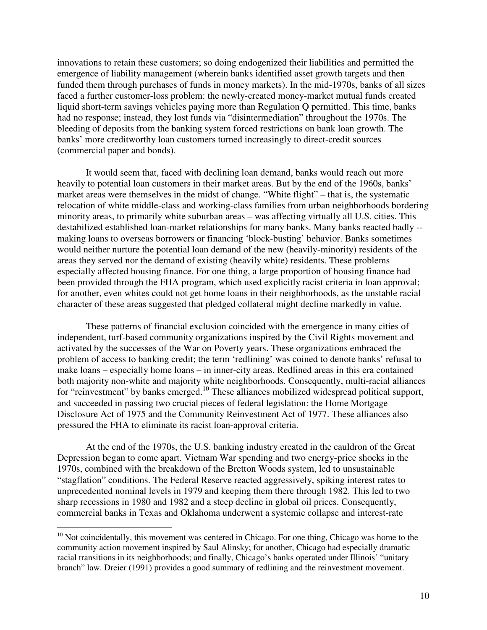innovations to retain these customers; so doing endogenized their liabilities and permitted the emergence of liability management (wherein banks identified asset growth targets and then funded them through purchases of funds in money markets). In the mid-1970s, banks of all sizes faced a further customer-loss problem: the newly-created money-market mutual funds created liquid short-term savings vehicles paying more than Regulation Q permitted. This time, banks had no response; instead, they lost funds via "disintermediation" throughout the 1970s. The bleeding of deposits from the banking system forced restrictions on bank loan growth. The banks' more creditworthy loan customers turned increasingly to direct-credit sources (commercial paper and bonds).

 It would seem that, faced with declining loan demand, banks would reach out more heavily to potential loan customers in their market areas. But by the end of the 1960s, banks' market areas were themselves in the midst of change. "White flight" – that is, the systematic relocation of white middle-class and working-class families from urban neighborhoods bordering minority areas, to primarily white suburban areas – was affecting virtually all U.S. cities. This destabilized established loan-market relationships for many banks. Many banks reacted badly - making loans to overseas borrowers or financing 'block-busting' behavior. Banks sometimes would neither nurture the potential loan demand of the new (heavily-minority) residents of the areas they served nor the demand of existing (heavily white) residents. These problems especially affected housing finance. For one thing, a large proportion of housing finance had been provided through the FHA program, which used explicitly racist criteria in loan approval; for another, even whites could not get home loans in their neighborhoods, as the unstable racial character of these areas suggested that pledged collateral might decline markedly in value.

These patterns of financial exclusion coincided with the emergence in many cities of independent, turf-based community organizations inspired by the Civil Rights movement and activated by the successes of the War on Poverty years. These organizations embraced the problem of access to banking credit; the term 'redlining' was coined to denote banks' refusal to make loans – especially home loans – in inner-city areas. Redlined areas in this era contained both majority non-white and majority white neighborhoods. Consequently, multi-racial alliances for "reinvestment" by banks emerged.<sup>10</sup> These alliances mobilized widespread political support, and succeeded in passing two crucial pieces of federal legislation: the Home Mortgage Disclosure Act of 1975 and the Community Reinvestment Act of 1977. These alliances also pressured the FHA to eliminate its racist loan-approval criteria.

At the end of the 1970s, the U.S. banking industry created in the cauldron of the Great Depression began to come apart. Vietnam War spending and two energy-price shocks in the 1970s, combined with the breakdown of the Bretton Woods system, led to unsustainable "stagflation" conditions. The Federal Reserve reacted aggressively, spiking interest rates to unprecedented nominal levels in 1979 and keeping them there through 1982. This led to two sharp recessions in 1980 and 1982 and a steep decline in global oil prices. Consequently, commercial banks in Texas and Oklahoma underwent a systemic collapse and interest-rate

 $10$  Not coincidentally, this movement was centered in Chicago. For one thing, Chicago was home to the community action movement inspired by Saul Alinsky; for another, Chicago had especially dramatic racial transitions in its neighborhoods; and finally, Chicago's banks operated under Illinois' "unitary branch" law. Dreier (1991) provides a good summary of redlining and the reinvestment movement.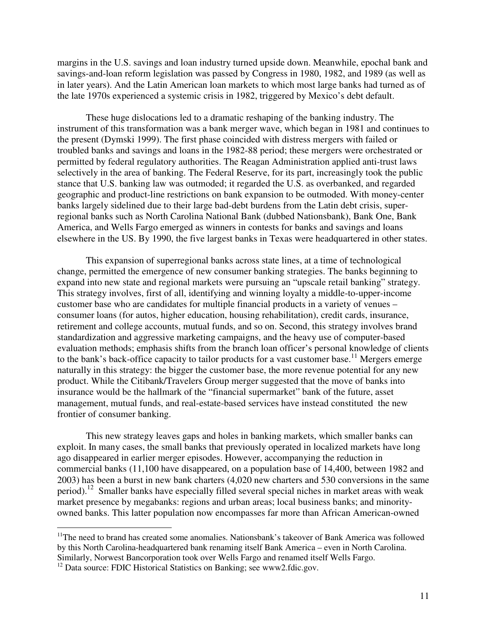margins in the U.S. savings and loan industry turned upside down. Meanwhile, epochal bank and savings-and-loan reform legislation was passed by Congress in 1980, 1982, and 1989 (as well as in later years). And the Latin American loan markets to which most large banks had turned as of the late 1970s experienced a systemic crisis in 1982, triggered by Mexico's debt default.

These huge dislocations led to a dramatic reshaping of the banking industry. The instrument of this transformation was a bank merger wave, which began in 1981 and continues to the present (Dymski 1999). The first phase coincided with distress mergers with failed or troubled banks and savings and loans in the 1982-88 period; these mergers were orchestrated or permitted by federal regulatory authorities. The Reagan Administration applied anti-trust laws selectively in the area of banking. The Federal Reserve, for its part, increasingly took the public stance that U.S. banking law was outmoded; it regarded the U.S. as overbanked, and regarded geographic and product-line restrictions on bank expansion to be outmoded. With money-center banks largely sidelined due to their large bad-debt burdens from the Latin debt crisis, superregional banks such as North Carolina National Bank (dubbed Nationsbank), Bank One, Bank America, and Wells Fargo emerged as winners in contests for banks and savings and loans elsewhere in the US. By 1990, the five largest banks in Texas were headquartered in other states.

 This expansion of superregional banks across state lines, at a time of technological change, permitted the emergence of new consumer banking strategies. The banks beginning to expand into new state and regional markets were pursuing an "upscale retail banking" strategy. This strategy involves, first of all, identifying and winning loyalty a middle-to-upper-income customer base who are candidates for multiple financial products in a variety of venues – consumer loans (for autos, higher education, housing rehabilitation), credit cards, insurance, retirement and college accounts, mutual funds, and so on. Second, this strategy involves brand standardization and aggressive marketing campaigns, and the heavy use of computer-based evaluation methods; emphasis shifts from the branch loan officer's personal knowledge of clients to the bank's back-office capacity to tailor products for a vast customer base.<sup>11</sup> Mergers emerge naturally in this strategy: the bigger the customer base, the more revenue potential for any new product. While the Citibank/Travelers Group merger suggested that the move of banks into insurance would be the hallmark of the "financial supermarket" bank of the future, asset management, mutual funds, and real-estate-based services have instead constituted the new frontier of consumer banking.

This new strategy leaves gaps and holes in banking markets, which smaller banks can exploit. In many cases, the small banks that previously operated in localized markets have long ago disappeared in earlier merger episodes. However, accompanying the reduction in commercial banks (11,100 have disappeared, on a population base of 14,400, between 1982 and 2003) has been a burst in new bank charters (4,020 new charters and 530 conversions in the same period).<sup>12</sup> Smaller banks have especially filled several special niches in market areas with weak market presence by megabanks: regions and urban areas; local business banks; and minorityowned banks. This latter population now encompasses far more than African American-owned

<sup>&</sup>lt;sup>11</sup>The need to brand has created some anomalies. Nationsbank's takeover of Bank America was followed by this North Carolina-headquartered bank renaming itself Bank America – even in North Carolina. Similarly, Norwest Bancorporation took over Wells Fargo and renamed itself Wells Fargo.

<sup>&</sup>lt;sup>12</sup> Data source: FDIC Historical Statistics on Banking; see www2.fdic.gov.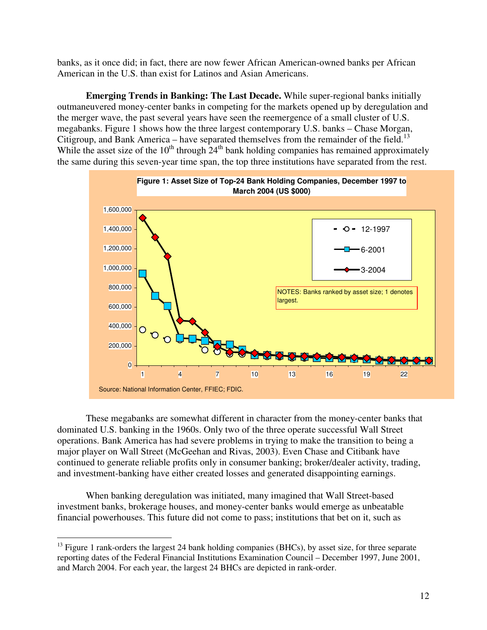banks, as it once did; in fact, there are now fewer African American-owned banks per African American in the U.S. than exist for Latinos and Asian Americans.

**Emerging Trends in Banking: The Last Decade.** While super-regional banks initially outmaneuvered money-center banks in competing for the markets opened up by deregulation and the merger wave, the past several years have seen the reemergence of a small cluster of U.S. megabanks. Figure 1 shows how the three largest contemporary U.S. banks – Chase Morgan, Citigroup, and Bank America – have separated themselves from the remainder of the field.<sup>13</sup> While the asset size of the  $10^{th}$  through  $24^{th}$  bank holding companies has remained approximately the same during this seven-year time span, the top three institutions have separated from the rest.



These megabanks are somewhat different in character from the money-center banks that dominated U.S. banking in the 1960s. Only two of the three operate successful Wall Street operations. Bank America has had severe problems in trying to make the transition to being a major player on Wall Street (McGeehan and Rivas, 2003). Even Chase and Citibank have continued to generate reliable profits only in consumer banking; broker/dealer activity, trading, and investment-banking have either created losses and generated disappointing earnings.

When banking deregulation was initiated, many imagined that Wall Street-based investment banks, brokerage houses, and money-center banks would emerge as unbeatable financial powerhouses. This future did not come to pass; institutions that bet on it, such as

<sup>&</sup>lt;sup>13</sup> Figure 1 rank-orders the largest 24 bank holding companies (BHCs), by asset size, for three separate reporting dates of the Federal Financial Institutions Examination Council – December 1997, June 2001, and March 2004. For each year, the largest 24 BHCs are depicted in rank-order.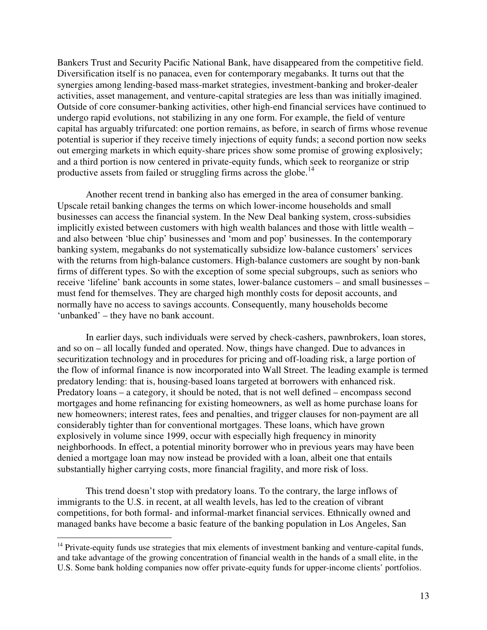Bankers Trust and Security Pacific National Bank, have disappeared from the competitive field. Diversification itself is no panacea, even for contemporary megabanks. It turns out that the synergies among lending-based mass-market strategies, investment-banking and broker-dealer activities, asset management, and venture-capital strategies are less than was initially imagined. Outside of core consumer-banking activities, other high-end financial services have continued to undergo rapid evolutions, not stabilizing in any one form. For example, the field of venture capital has arguably trifurcated: one portion remains, as before, in search of firms whose revenue potential is superior if they receive timely injections of equity funds; a second portion now seeks out emerging markets in which equity-share prices show some promise of growing explosively; and a third portion is now centered in private-equity funds, which seek to reorganize or strip productive assets from failed or struggling firms across the globe.<sup>14</sup>

Another recent trend in banking also has emerged in the area of consumer banking. Upscale retail banking changes the terms on which lower-income households and small businesses can access the financial system. In the New Deal banking system, cross-subsidies implicitly existed between customers with high wealth balances and those with little wealth – and also between 'blue chip' businesses and 'mom and pop' businesses. In the contemporary banking system, megabanks do not systematically subsidize low-balance customers' services with the returns from high-balance customers. High-balance customers are sought by non-bank firms of different types. So with the exception of some special subgroups, such as seniors who receive 'lifeline' bank accounts in some states, lower-balance customers – and small businesses – must fend for themselves. They are charged high monthly costs for deposit accounts, and normally have no access to savings accounts. Consequently, many households become 'unbanked' – they have no bank account.

In earlier days, such individuals were served by check-cashers, pawnbrokers, loan stores, and so on – all locally funded and operated. Now, things have changed. Due to advances in securitization technology and in procedures for pricing and off-loading risk, a large portion of the flow of informal finance is now incorporated into Wall Street. The leading example is termed predatory lending: that is, housing-based loans targeted at borrowers with enhanced risk. Predatory loans – a category, it should be noted, that is not well defined – encompass second mortgages and home refinancing for existing homeowners, as well as home purchase loans for new homeowners; interest rates, fees and penalties, and trigger clauses for non-payment are all considerably tighter than for conventional mortgages. These loans, which have grown explosively in volume since 1999, occur with especially high frequency in minority neighborhoods. In effect, a potential minority borrower who in previous years may have been denied a mortgage loan may now instead be provided with a loan, albeit one that entails substantially higher carrying costs, more financial fragility, and more risk of loss.

This trend doesn't stop with predatory loans. To the contrary, the large inflows of immigrants to the U.S. in recent, at all wealth levels, has led to the creation of vibrant competitions, for both formal- and informal-market financial services. Ethnically owned and managed banks have become a basic feature of the banking population in Los Angeles, San

<sup>&</sup>lt;sup>14</sup> Private-equity funds use strategies that mix elements of investment banking and venture-capital funds, and take advantage of the growing concentration of financial wealth in the hands of a small elite, in the U.S. Some bank holding companies now offer private-equity funds for upper-income clients' portfolios.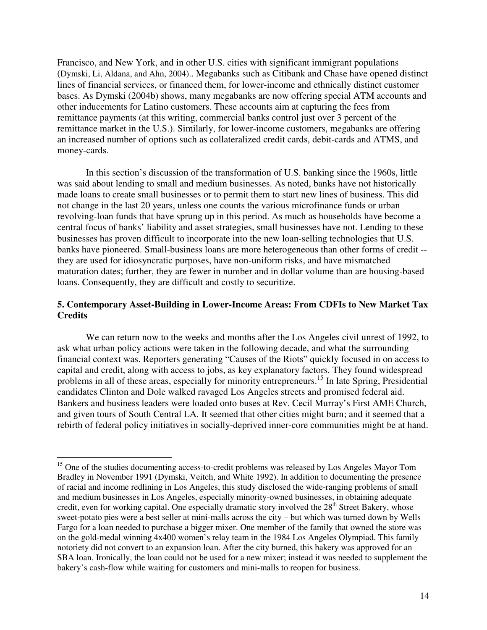Francisco, and New York, and in other U.S. cities with significant immigrant populations (Dymski, Li, Aldana, and Ahn, 2004).. Megabanks such as Citibank and Chase have opened distinct lines of financial services, or financed them, for lower-income and ethnically distinct customer bases. As Dymski (2004b) shows, many megabanks are now offering special ATM accounts and other inducements for Latino customers. These accounts aim at capturing the fees from remittance payments (at this writing, commercial banks control just over 3 percent of the remittance market in the U.S.). Similarly, for lower-income customers, megabanks are offering an increased number of options such as collateralized credit cards, debit-cards and ATMS, and money-cards.

In this section's discussion of the transformation of U.S. banking since the 1960s, little was said about lending to small and medium businesses. As noted, banks have not historically made loans to create small businesses or to permit them to start new lines of business. This did not change in the last 20 years, unless one counts the various microfinance funds or urban revolving-loan funds that have sprung up in this period. As much as households have become a central focus of banks' liability and asset strategies, small businesses have not. Lending to these businesses has proven difficult to incorporate into the new loan-selling technologies that U.S. banks have pioneered. Small-business loans are more heterogeneous than other forms of credit - they are used for idiosyncratic purposes, have non-uniform risks, and have mismatched maturation dates; further, they are fewer in number and in dollar volume than are housing-based loans. Consequently, they are difficult and costly to securitize.

# **5. Contemporary Asset-Building in Lower-Income Areas: From CDFIs to New Market Tax Credits**

We can return now to the weeks and months after the Los Angeles civil unrest of 1992, to ask what urban policy actions were taken in the following decade, and what the surrounding financial context was. Reporters generating "Causes of the Riots" quickly focused in on access to capital and credit, along with access to jobs, as key explanatory factors. They found widespread problems in all of these areas, especially for minority entrepreneurs.<sup>15</sup> In late Spring, Presidential candidates Clinton and Dole walked ravaged Los Angeles streets and promised federal aid. Bankers and business leaders were loaded onto buses at Rev. Cecil Murray's First AME Church, and given tours of South Central LA. It seemed that other cities might burn; and it seemed that a rebirth of federal policy initiatives in socially-deprived inner-core communities might be at hand.

<sup>&</sup>lt;sup>15</sup> One of the studies documenting access-to-credit problems was released by Los Angeles Mayor Tom Bradley in November 1991 (Dymski, Veitch, and White 1992). In addition to documenting the presence of racial and income redlining in Los Angeles, this study disclosed the wide-ranging problems of small and medium businesses in Los Angeles, especially minority-owned businesses, in obtaining adequate credit, even for working capital. One especially dramatic story involved the 28<sup>th</sup> Street Bakery, whose sweet-potato pies were a best seller at mini-malls across the city – but which was turned down by Wells Fargo for a loan needed to purchase a bigger mixer. One member of the family that owned the store was on the gold-medal winning 4x400 women's relay team in the 1984 Los Angeles Olympiad. This family notoriety did not convert to an expansion loan. After the city burned, this bakery was approved for an SBA loan. Ironically, the loan could not be used for a new mixer; instead it was needed to supplement the bakery's cash-flow while waiting for customers and mini-malls to reopen for business.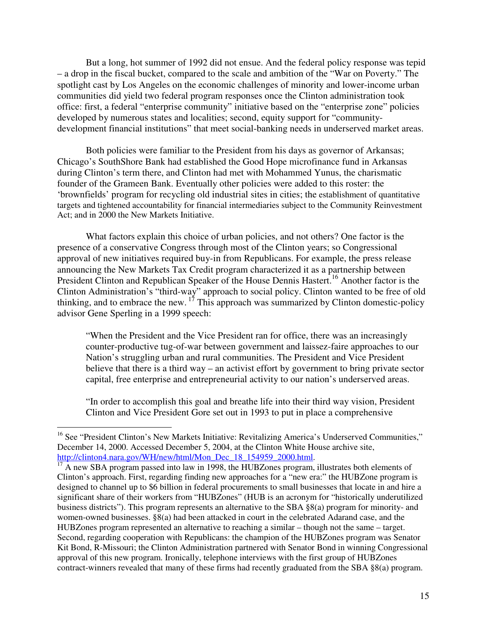But a long, hot summer of 1992 did not ensue. And the federal policy response was tepid – a drop in the fiscal bucket, compared to the scale and ambition of the "War on Poverty." The spotlight cast by Los Angeles on the economic challenges of minority and lower-income urban communities did yield two federal program responses once the Clinton administration took office: first, a federal "enterprise community" initiative based on the "enterprise zone" policies developed by numerous states and localities; second, equity support for "communitydevelopment financial institutions" that meet social-banking needs in underserved market areas.

Both policies were familiar to the President from his days as governor of Arkansas; Chicago's SouthShore Bank had established the Good Hope microfinance fund in Arkansas during Clinton's term there, and Clinton had met with Mohammed Yunus, the charismatic founder of the Grameen Bank. Eventually other policies were added to this roster: the 'brownfields' program for recycling old industrial sites in cities; the establishment of quantitative targets and tightened accountability for financial intermediaries subject to the Community Reinvestment Act; and in 2000 the New Markets Initiative.

What factors explain this choice of urban policies, and not others? One factor is the presence of a conservative Congress through most of the Clinton years; so Congressional approval of new initiatives required buy-in from Republicans. For example, the press release announcing the New Markets Tax Credit program characterized it as a partnership between President Clinton and Republican Speaker of the House Dennis Hastert.<sup>16</sup> Another factor is the Clinton Administration's "third-way" approach to social policy. Clinton wanted to be free of old thinking, and to embrace the new.<sup>17</sup> This approach was summarized by Clinton domestic-policy advisor Gene Sperling in a 1999 speech:

"When the President and the Vice President ran for office, there was an increasingly counter-productive tug-of-war between government and laissez-faire approaches to our Nation's struggling urban and rural communities. The President and Vice President believe that there is a third way – an activist effort by government to bring private sector capital, free enterprise and entrepreneurial activity to our nation's underserved areas.

"In order to accomplish this goal and breathe life into their third way vision, President Clinton and Vice President Gore set out in 1993 to put in place a comprehensive

<sup>&</sup>lt;sup>16</sup> See "President Clinton's New Markets Initiative: Revitalizing America's Underserved Communities," December 14, 2000. Accessed December 5, 2004, at the Clinton White House archive site, http://clinton4.nara.gov/WH/new/html/Mon\_Dec\_18\_154959\_2000.html.

<sup>&</sup>lt;sup>17</sup> A new SBA program passed into law in 1998, the HUBZones program, illustrates both elements of Clinton's approach. First, regarding finding new approaches for a "new era:" the HUBZone program is designed to channel up to \$6 billion in federal procurements to small businesses that locate in and hire a significant share of their workers from "HUBZones" (HUB is an acronym for "historically underutilized business districts"). This program represents an alternative to the SBA §8(a) program for minority- and women-owned businesses. §8(a) had been attacked in court in the celebrated Adarand case, and the HUBZones program represented an alternative to reaching a similar – though not the same – target. Second, regarding cooperation with Republicans: the champion of the HUBZones program was Senator Kit Bond, R-Missouri; the Clinton Administration partnered with Senator Bond in winning Congressional approval of this new program. Ironically, telephone interviews with the first group of HUBZones contract-winners revealed that many of these firms had recently graduated from the SBA §8(a) program.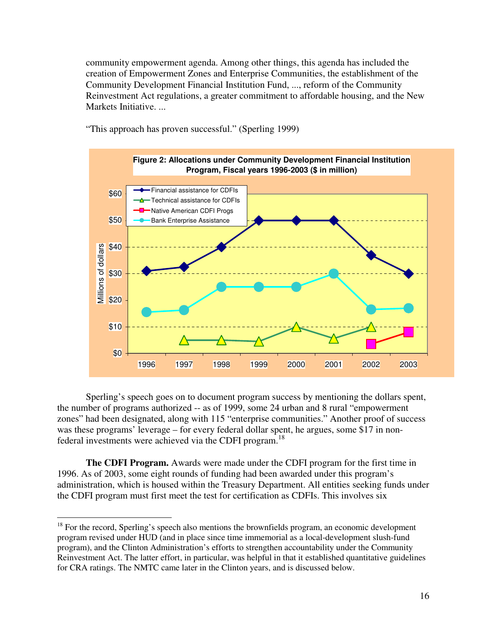community empowerment agenda. Among other things, this agenda has included the creation of Empowerment Zones and Enterprise Communities, the establishment of the Community Development Financial Institution Fund, ..., reform of the Community Reinvestment Act regulations, a greater commitment to affordable housing, and the New Markets Initiative. ...





Sperling's speech goes on to document program success by mentioning the dollars spent, the number of programs authorized -- as of 1999, some 24 urban and 8 rural "empowerment zones" had been designated, along with 115 "enterprise communities." Another proof of success was these programs' leverage – for every federal dollar spent, he argues, some \$17 in nonfederal investments were achieved via the CDFI program.<sup>18</sup>

**The CDFI Program.** Awards were made under the CDFI program for the first time in 1996. As of 2003, some eight rounds of funding had been awarded under this program's administration, which is housed within the Treasury Department. All entities seeking funds under the CDFI program must first meet the test for certification as CDFIs. This involves six

 $<sup>18</sup>$  For the record, Sperling's speech also mentions the brownfields program, an economic development</sup> program revised under HUD (and in place since time immemorial as a local-development slush-fund program), and the Clinton Administration's efforts to strengthen accountability under the Community Reinvestment Act. The latter effort, in particular, was helpful in that it established quantitative guidelines for CRA ratings. The NMTC came later in the Clinton years, and is discussed below.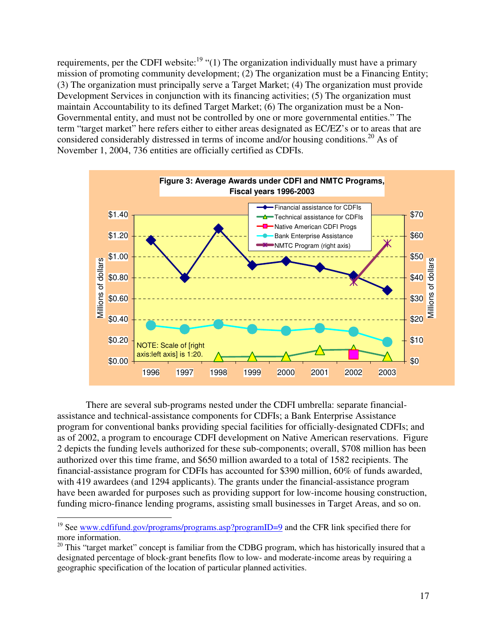requirements, per the CDFI website:<sup>19</sup> "(1) The organization individually must have a primary mission of promoting community development; (2) The organization must be a Financing Entity; (3) The organization must principally serve a Target Market; (4) The organization must provide Development Services in conjunction with its financing activities; (5) The organization must maintain Accountability to its defined Target Market; (6) The organization must be a Non-Governmental entity, and must not be controlled by one or more governmental entities." The term "target market" here refers either to either areas designated as EC/EZ's or to areas that are considered considerably distressed in terms of income and/or housing conditions.<sup>20</sup> As of November 1, 2004, 736 entities are officially certified as CDFIs.



There are several sub-programs nested under the CDFI umbrella: separate financialassistance and technical-assistance components for CDFIs; a Bank Enterprise Assistance program for conventional banks providing special facilities for officially-designated CDFIs; and as of 2002, a program to encourage CDFI development on Native American reservations. Figure 2 depicts the funding levels authorized for these sub-components; overall, \$708 million has been authorized over this time frame, and \$650 million awarded to a total of 1582 recipients. The financial-assistance program for CDFIs has accounted for \$390 million, 60% of funds awarded, with 419 awardees (and 1294 applicants). The grants under the financial-assistance program have been awarded for purposes such as providing support for low-income housing construction, funding micro-finance lending programs, assisting small businesses in Target Areas, and so on.

<sup>&</sup>lt;sup>19</sup> See <u>www.cdfifund.gov/programs/programs.asp?programID=9</u> and the CFR link specified there for more information.

 $20$  This "target market" concept is familiar from the CDBG program, which has historically insured that a designated percentage of block-grant benefits flow to low- and moderate-income areas by requiring a geographic specification of the location of particular planned activities.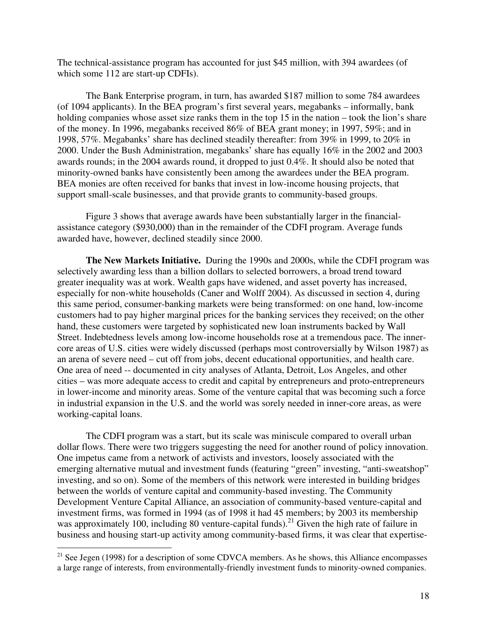The technical-assistance program has accounted for just \$45 million, with 394 awardees (of which some 112 are start-up CDFIs).

The Bank Enterprise program, in turn, has awarded \$187 million to some 784 awardees (of 1094 applicants). In the BEA program's first several years, megabanks – informally, bank holding companies whose asset size ranks them in the top 15 in the nation – took the lion's share of the money. In 1996, megabanks received 86% of BEA grant money; in 1997, 59%; and in 1998, 57%. Megabanks' share has declined steadily thereafter: from 39% in 1999, to 20% in 2000. Under the Bush Administration, megabanks' share has equally 16% in the 2002 and 2003 awards rounds; in the 2004 awards round, it dropped to just 0.4%. It should also be noted that minority-owned banks have consistently been among the awardees under the BEA program. BEA monies are often received for banks that invest in low-income housing projects, that support small-scale businesses, and that provide grants to community-based groups.

Figure 3 shows that average awards have been substantially larger in the financialassistance category (\$930,000) than in the remainder of the CDFI program. Average funds awarded have, however, declined steadily since 2000.

**The New Markets Initiative.** During the 1990s and 2000s, while the CDFI program was selectively awarding less than a billion dollars to selected borrowers, a broad trend toward greater inequality was at work. Wealth gaps have widened, and asset poverty has increased, especially for non-white households (Caner and Wolff 2004). As discussed in section 4, during this same period, consumer-banking markets were being transformed: on one hand, low-income customers had to pay higher marginal prices for the banking services they received; on the other hand, these customers were targeted by sophisticated new loan instruments backed by Wall Street. Indebtedness levels among low-income households rose at a tremendous pace. The innercore areas of U.S. cities were widely discussed (perhaps most controversially by Wilson 1987) as an arena of severe need – cut off from jobs, decent educational opportunities, and health care. One area of need -- documented in city analyses of Atlanta, Detroit, Los Angeles, and other cities – was more adequate access to credit and capital by entrepreneurs and proto-entrepreneurs in lower-income and minority areas. Some of the venture capital that was becoming such a force in industrial expansion in the U.S. and the world was sorely needed in inner-core areas, as were working-capital loans.

The CDFI program was a start, but its scale was miniscule compared to overall urban dollar flows. There were two triggers suggesting the need for another round of policy innovation. One impetus came from a network of activists and investors, loosely associated with the emerging alternative mutual and investment funds (featuring "green" investing, "anti-sweatshop" investing, and so on). Some of the members of this network were interested in building bridges between the worlds of venture capital and community-based investing. The Community Development Venture Capital Alliance, an association of community-based venture-capital and investment firms, was formed in 1994 (as of 1998 it had 45 members; by 2003 its membership was approximately 100, including 80 venture-capital funds).<sup>21</sup> Given the high rate of failure in business and housing start-up activity among community-based firms, it was clear that expertise-

 $21$  See Jegen (1998) for a description of some CDVCA members. As he shows, this Alliance encompasses a large range of interests, from environmentally-friendly investment funds to minority-owned companies.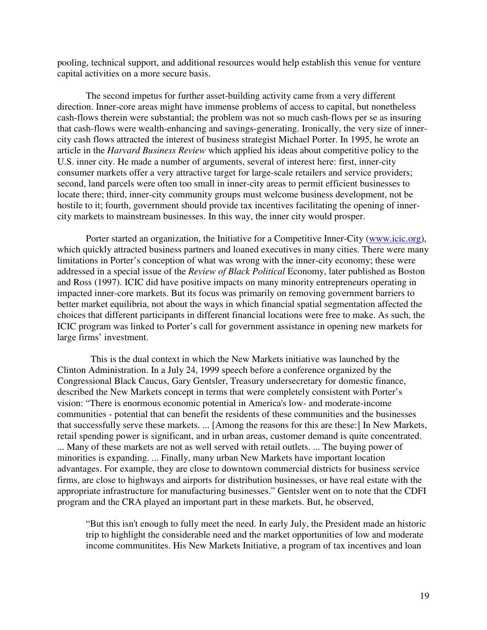pooling, technical support, and additional resources would help establish this venue for venture capital activities on a more secure basis.

The second impetus for further asset-building activity came from a very different direction. Inner-core areas might have immense problems of access to capital, but nonetheless cash-flows therein were substantial; the problem was not so much cash-flows per se as insuring that cash-flows were wealth-enhancing and savings-generating. Ironically, the very size of innercity cash flows attracted the interest of business strategist Michael Porter. In 1995, he wrote an article in the *Harvard Business Review* which applied his ideas about competitive policy to the U.S. inner city. He made a number of arguments, several of interest here: first, inner-city consumer markets offer a very attractive target for large-scale retailers and service providers; second, land parcels were often too small in inner-city areas to permit efficient businesses to locate there; third, inner-city community groups must welcome business development, not be hostile to it; fourth, government should provide tax incentives facilitating the opening of innercity markets to mainstream businesses. In this way, the inner city would prosper.

Porter started an organization, the Initiative for a Competitive Inner-City (www.icic.org), which quickly attracted business partners and loaned executives in many cities. There were many limitations in Porter's conception of what was wrong with the inner-city economy; these were addressed in a special issue of the *Review of Black Political* Economy, later published as Boston and Ross (1997). ICIC did have positive impacts on many minority entrepreneurs operating in impacted inner-core markets. But its focus was primarily on removing government barriers to better market equilibria, not about the ways in which financial spatial segmentation affected the choices that different participants in different financial locations were free to make. As such, the ICIC program was linked to Porter's call for government assistance in opening new markets for large firms' investment.

 This is the dual context in which the New Markets initiative was launched by the Clinton Administration. In a July 24, 1999 speech before a conference organized by the Congressional Black Caucus, Gary Gentsler, Treasury undersecretary for domestic finance, described the New Markets concept in terms that were completely consistent with Porter's vision: "There is enormous economic potential in America's low- and moderate-income communities - potential that can benefit the residents of these communities and the businesses that successfully serve these markets. ... [Among the reasons for this are these:] In New Markets, retail spending power is significant, and in urban areas, customer demand is quite concentrated. ... Many of these markets are not as well served with retail outlets. ... The buying power of minorities is expanding. ... Finally, many urban New Markets have important location advantages. For example, they are close to downtown commercial districts for business service firms, are close to highways and airports for distribution businesses, or have real estate with the appropriate infrastructure for manufacturing businesses." Gentsler went on to note that the CDFI program and the CRA played an important part in these markets. But, he observed,

"But this isn't enough to fully meet the need. In early July, the President made an historic trip to highlight the considerable need and the market opportunities of low and moderate income communitites. His New Markets Initiative, a program of tax incentives and loan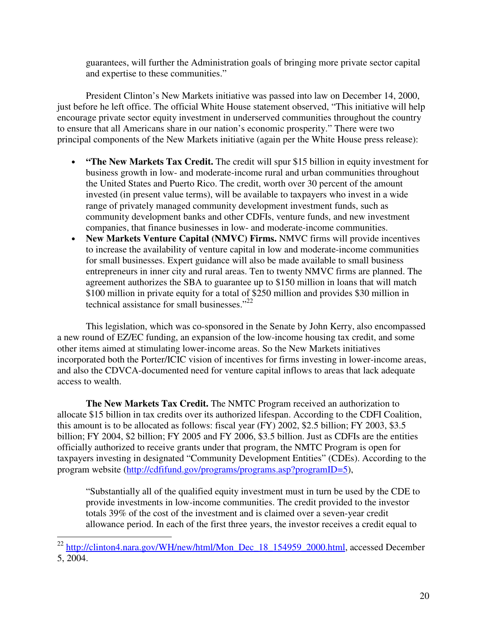guarantees, will further the Administration goals of bringing more private sector capital and expertise to these communities."

President Clinton's New Markets initiative was passed into law on December 14, 2000, just before he left office. The official White House statement observed, "This initiative will help encourage private sector equity investment in underserved communities throughout the country to ensure that all Americans share in our nation's economic prosperity." There were two principal components of the New Markets initiative (again per the White House press release):

- **"The New Markets Tax Credit.** The credit will spur \$15 billion in equity investment for business growth in low- and moderate-income rural and urban communities throughout the United States and Puerto Rico. The credit, worth over 30 percent of the amount invested (in present value terms), will be available to taxpayers who invest in a wide range of privately managed community development investment funds, such as community development banks and other CDFIs, venture funds, and new investment companies, that finance businesses in low- and moderate-income communities.
- **New Markets Venture Capital (NMVC) Firms.** NMVC firms will provide incentives to increase the availability of venture capital in low and moderate-income communities for small businesses. Expert guidance will also be made available to small business entrepreneurs in inner city and rural areas. Ten to twenty NMVC firms are planned. The agreement authorizes the SBA to guarantee up to \$150 million in loans that will match \$100 million in private equity for a total of \$250 million and provides \$30 million in technical assistance for small businesses."<sup>22</sup>

 This legislation, which was co-sponsored in the Senate by John Kerry, also encompassed a new round of EZ/EC funding, an expansion of the low-income housing tax credit, and some other items aimed at stimulating lower-income areas. So the New Markets initiatives incorporated both the Porter/ICIC vision of incentives for firms investing in lower-income areas, and also the CDVCA-documented need for venture capital inflows to areas that lack adequate access to wealth.

**The New Markets Tax Credit.** The NMTC Program received an authorization to allocate \$15 billion in tax credits over its authorized lifespan. According to the CDFI Coalition, this amount is to be allocated as follows: fiscal year (FY) 2002, \$2.5 billion; FY 2003, \$3.5 billion; FY 2004, \$2 billion; FY 2005 and FY 2006, \$3.5 billion. Just as CDFIs are the entities officially authorized to receive grants under that program, the NMTC Program is open for taxpayers investing in designated "Community Development Entities" (CDEs). According to the program website (http://cdfifund.gov/programs/programs.asp?programID=5),

"Substantially all of the qualified equity investment must in turn be used by the CDE to provide investments in low-income communities. The credit provided to the investor totals 39% of the cost of the investment and is claimed over a seven-year credit allowance period. In each of the first three years, the investor receives a credit equal to

 $\overline{a}$ <sup>22</sup> http://clinton4.nara.gov/WH/new/html/Mon\_Dec\_18\_154959\_2000.html, accessed December 5, 2004.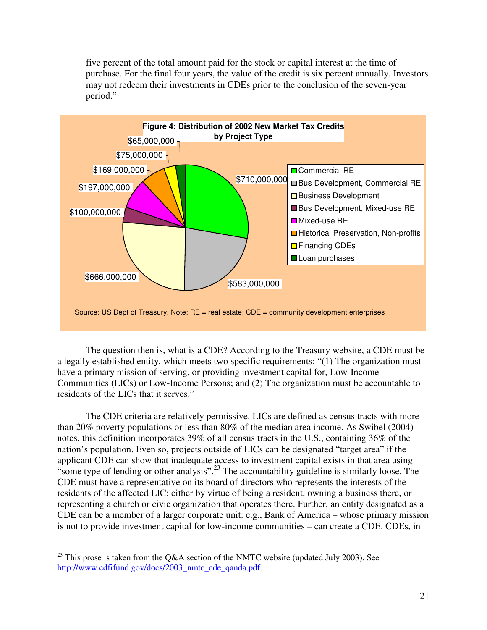five percent of the total amount paid for the stock or capital interest at the time of purchase. For the final four years, the value of the credit is six percent annually. Investors may not redeem their investments in CDEs prior to the conclusion of the seven-year period."



 The question then is, what is a CDE? According to the Treasury website, a CDE must be a legally established entity, which meets two specific requirements: "(1) The organization must have a primary mission of serving, or providing investment capital for, Low-Income Communities (LICs) or Low-Income Persons; and (2) The organization must be accountable to residents of the LICs that it serves."

 The CDE criteria are relatively permissive. LICs are defined as census tracts with more than 20% poverty populations or less than 80% of the median area income. As Swibel (2004) notes, this definition incorporates 39% of all census tracts in the U.S., containing 36% of the nation's population. Even so, projects outside of LICs can be designated "target area" if the applicant CDE can show that inadequate access to investment capital exists in that area using "some type of lending or other analysis".<sup>23</sup> The accountability guideline is similarly loose. The CDE must have a representative on its board of directors who represents the interests of the residents of the affected LIC: either by virtue of being a resident, owning a business there, or representing a church or civic organization that operates there. Further, an entity designated as a CDE can be a member of a larger corporate unit: e.g., Bank of America – whose primary mission is not to provide investment capital for low-income communities – can create a CDE. CDEs, in

<sup>&</sup>lt;sup>23</sup> This prose is taken from the Q&A section of the NMTC website (updated July 2003). See http://www.cdfifund.gov/docs/2003\_nmtc\_cde\_qanda.pdf.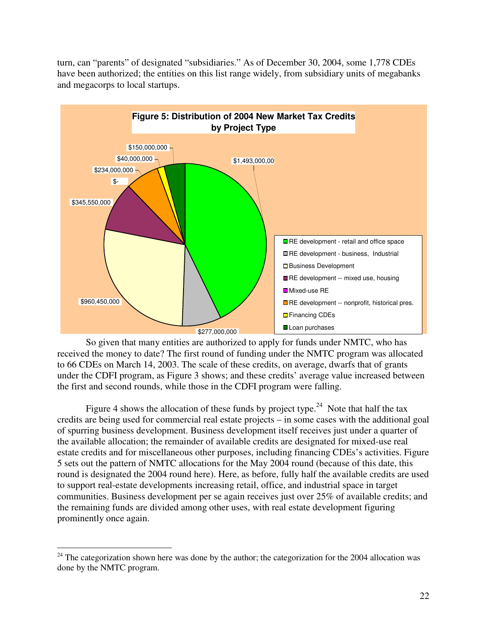

turn, can "parents" of designated "subsidiaries." As of December 30, 2004, some 1,778 CDEs have been authorized; the entities on this list range widely, from subsidiary units of megabanks and megacorps to local startups.

 So given that many entities are authorized to apply for funds under NMTC, who has received the money to date? The first round of funding under the NMTC program was allocated to 66 CDEs on March 14, 2003. The scale of these credits, on average, dwarfs that of grants under the CDFI program, as Figure 3 shows; and these credits' average value increased between the first and second rounds, while those in the CDFI program were falling.

Figure 4 shows the allocation of these funds by project type.<sup>24</sup> Note that half the tax credits are being used for commercial real estate projects – in some cases with the additional goal of spurring business development. Business development itself receives just under a quarter of the available allocation; the remainder of available credits are designated for mixed-use real estate credits and for miscellaneous other purposes, including financing CDEs's activities. Figure 5 sets out the pattern of NMTC allocations for the May 2004 round (because of this date, this round is designated the 2004 round here). Here, as before, fully half the available credits are used to support real-estate developments increasing retail, office, and industrial space in target communities. Business development per se again receives just over 25% of available credits; and the remaining funds are divided among other uses, with real estate development figuring prominently once again.

 $24$  The categorization shown here was done by the author; the categorization for the 2004 allocation was done by the NMTC program.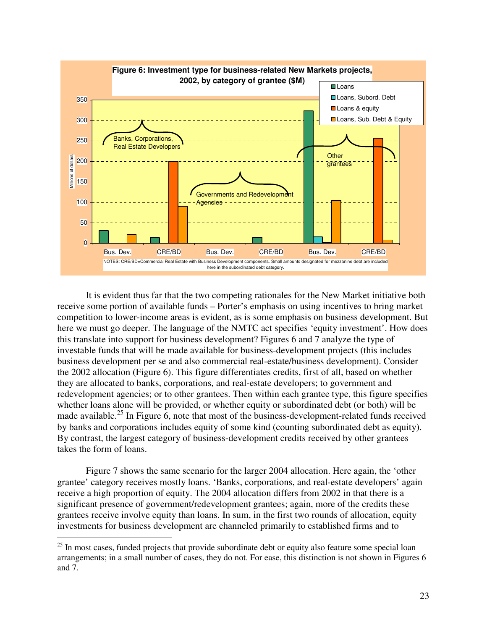

 It is evident thus far that the two competing rationales for the New Market initiative both receive some portion of available funds – Porter's emphasis on using incentives to bring market competition to lower-income areas is evident, as is some emphasis on business development. But here we must go deeper. The language of the NMTC act specifies 'equity investment'. How does this translate into support for business development? Figures 6 and 7 analyze the type of investable funds that will be made available for business-development projects (this includes business development per se and also commercial real-estate/business development). Consider the 2002 allocation (Figure 6). This figure differentiates credits, first of all, based on whether they are allocated to banks, corporations, and real-estate developers; to government and redevelopment agencies; or to other grantees. Then within each grantee type, this figure specifies whether loans alone will be provided, or whether equity or subordinated debt (or both) will be made available.<sup>25</sup> In Figure 6, note that most of the business-development-related funds received by banks and corporations includes equity of some kind (counting subordinated debt as equity). By contrast, the largest category of business-development credits received by other grantees takes the form of loans.

 Figure 7 shows the same scenario for the larger 2004 allocation. Here again, the 'other grantee' category receives mostly loans. 'Banks, corporations, and real-estate developers' again receive a high proportion of equity. The 2004 allocation differs from 2002 in that there is a significant presence of government/redevelopment grantees; again, more of the credits these grantees receive involve equity than loans. In sum, in the first two rounds of allocation, equity investments for business development are channeled primarily to established firms and to

<sup>&</sup>lt;sup>25</sup> In most cases, funded projects that provide subordinate debt or equity also feature some special loan arrangements; in a small number of cases, they do not. For ease, this distinction is not shown in Figures 6 and 7.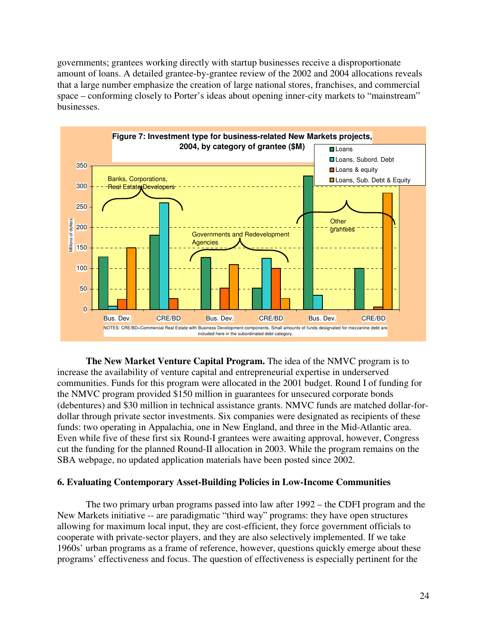governments; grantees working directly with startup businesses receive a disproportionate amount of loans. A detailed grantee-by-grantee review of the 2002 and 2004 allocations reveals that a large number emphasize the creation of large national stores, franchises, and commercial space – conforming closely to Porter's ideas about opening inner-city markets to "mainstream" businesses.



**The New Market Venture Capital Program.** The idea of the NMVC program is to increase the availability of venture capital and entrepreneurial expertise in underserved communities. Funds for this program were allocated in the 2001 budget. Round I of funding for the NMVC program provided \$150 million in guarantees for unsecured corporate bonds (debentures) and \$30 million in technical assistance grants. NMVC funds are matched dollar-fordollar through private sector investments. Six companies were designated as recipients of these funds: two operating in Appalachia, one in New England, and three in the Mid-Atlantic area. Even while five of these first six Round-I grantees were awaiting approval, however, Congress cut the funding for the planned Round-II allocation in 2003. While the program remains on the SBA webpage, no updated application materials have been posted since 2002.

#### **6. Evaluating Contemporary Asset-Building Policies in Low-Income Communities**

The two primary urban programs passed into law after 1992 – the CDFI program and the New Markets initiative -- are paradigmatic "third way" programs: they have open structures allowing for maximum local input, they are cost-efficient, they force government officials to cooperate with private-sector players, and they are also selectively implemented. If we take 1960s' urban programs as a frame of reference, however, questions quickly emerge about these programs' effectiveness and focus. The question of effectiveness is especially pertinent for the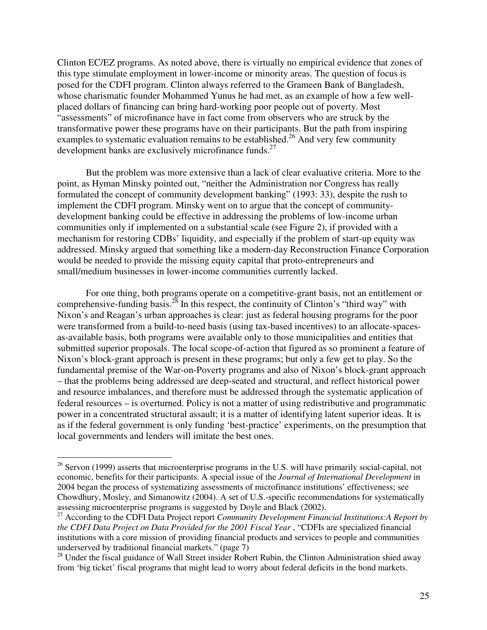Clinton EC/EZ programs. As noted above, there is virtually no empirical evidence that zones of this type stimulate employment in lower-income or minority areas. The question of focus is posed for the CDFI program. Clinton always referred to the Grameen Bank of Bangladesh, whose charismatic founder Mohammed Yunus he had met, as an example of how a few wellplaced dollars of financing can bring hard-working poor people out of poverty. Most "assessments" of microfinance have in fact come from observers who are struck by the transformative power these programs have on their participants. But the path from inspiring examples to systematic evaluation remains to be established.<sup>26</sup> And very few community development banks are exclusively microfinance funds.<sup>27</sup>

But the problem was more extensive than a lack of clear evaluative criteria. More to the point, as Hyman Minsky pointed out, "neither the Administration nor Congress has really formulated the concept of community development banking" (1993: 33), despite the rush to implement the CDFI program. Minsky went on to argue that the concept of communitydevelopment banking could be effective in addressing the problems of low-income urban communities only if implemented on a substantial scale (see Figure 2), if provided with a mechanism for restoring CDBs' liquidity, and especially if the problem of start-up equity was addressed. Minsky argued that something like a modern-day Reconstruction Finance Corporation would be needed to provide the missing equity capital that proto-entrepreneurs and small/medium businesses in lower-income communities currently lacked.

For one thing, both programs operate on a competitive-grant basis, not an entitlement or comprehensive-funding basis.<sup>28</sup> In this respect, the continuity of Clinton's "third way" with Nixon's and Reagan's urban approaches is clear: just as federal housing programs for the poor were transformed from a build-to-need basis (using tax-based incentives) to an allocate-spacesas-available basis, both programs were available only to those municipalities and entities that submitted superior proposals. The local scope-of-action that figured as so prominent a feature of Nixon's block-grant approach is present in these programs; but only a few get to play. So the fundamental premise of the War-on-Poverty programs and also of Nixon's block-grant approach – that the problems being addressed are deep-seated and structural, and reflect historical power and resource imbalances, and therefore must be addressed through the systematic application of federal resources – is overturned. Policy is not a matter of using redistributive and programmatic power in a concentrated structural assault; it is a matter of identifying latent superior ideas. It is as if the federal government is only funding 'best-practice' experiments, on the presumption that local governments and lenders will imitate the best ones.

 $26$  Servon (1999) asserts that microenterprise programs in the U.S. will have primarily social-capital, not economic, benefits for their participants. A special issue of the *Journal of International Development* in 2004 began the process of systematizing assessments of microfinance institutions' effectiveness; see Chowdhury, Mosley, and Simanowitz (2004). A set of U.S.-specific recommendations for systematically assessing microenterprise programs is suggested by Doyle and Black (2002).

<sup>27</sup> According to the CDFI Data Project report *Community Development Financial Institutions:A Report by the CDFI Data Project on Data Provided for the 2001 Fiscal Year* , "CDFIs are specialized financial institutions with a core mission of providing financial products and services to people and communities underserved by traditional financial markets." (page  $7)$ 

<sup>&</sup>lt;sup>28</sup> Under the fiscal guidance of Wall Street insider Robert Rubin, the Clinton Administration shied away from 'big ticket' fiscal programs that might lead to worry about federal deficits in the bond markets.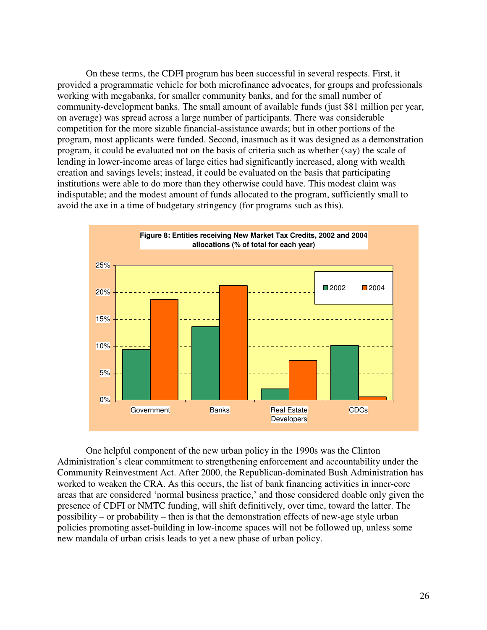On these terms, the CDFI program has been successful in several respects. First, it provided a programmatic vehicle for both microfinance advocates, for groups and professionals working with megabanks, for smaller community banks, and for the small number of community-development banks. The small amount of available funds (just \$81 million per year, on average) was spread across a large number of participants. There was considerable competition for the more sizable financial-assistance awards; but in other portions of the program, most applicants were funded. Second, inasmuch as it was designed as a demonstration program, it could be evaluated not on the basis of criteria such as whether (say) the scale of lending in lower-income areas of large cities had significantly increased, along with wealth creation and savings levels; instead, it could be evaluated on the basis that participating institutions were able to do more than they otherwise could have. This modest claim was indisputable; and the modest amount of funds allocated to the program, sufficiently small to avoid the axe in a time of budgetary stringency (for programs such as this).



One helpful component of the new urban policy in the 1990s was the Clinton Administration's clear commitment to strengthening enforcement and accountability under the Community Reinvestment Act. After 2000, the Republican-dominated Bush Administration has worked to weaken the CRA. As this occurs, the list of bank financing activities in inner-core areas that are considered 'normal business practice,' and those considered doable only given the presence of CDFI or NMTC funding, will shift definitively, over time, toward the latter. The possibility – or probability – then is that the demonstration effects of new-age style urban policies promoting asset-building in low-income spaces will not be followed up, unless some new mandala of urban crisis leads to yet a new phase of urban policy.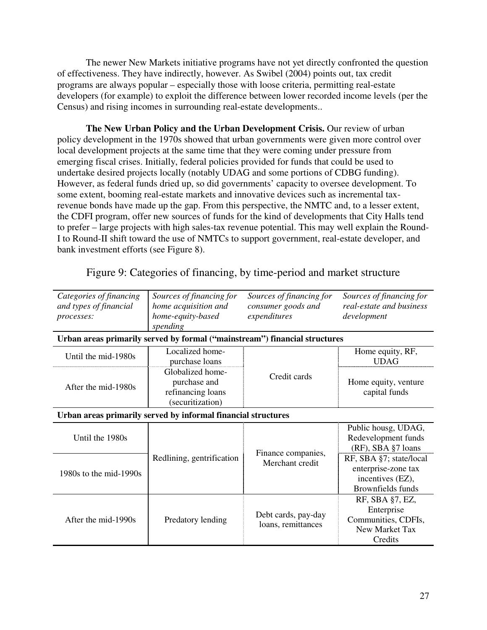The newer New Markets initiative programs have not yet directly confronted the question of effectiveness. They have indirectly, however. As Swibel (2004) points out, tax credit programs are always popular – especially those with loose criteria, permitting real-estate developers (for example) to exploit the difference between lower recorded income levels (per the Census) and rising incomes in surrounding real-estate developments..

**The New Urban Policy and the Urban Development Crisis.** Our review of urban policy development in the 1970s showed that urban governments were given more control over local development projects at the same time that they were coming under pressure from emerging fiscal crises. Initially, federal policies provided for funds that could be used to undertake desired projects locally (notably UDAG and some portions of CDBG funding). However, as federal funds dried up, so did governments' capacity to oversee development. To some extent, booming real-estate markets and innovative devices such as incremental taxrevenue bonds have made up the gap. From this perspective, the NMTC and, to a lesser extent, the CDFI program, offer new sources of funds for the kind of developments that City Halls tend to prefer – large projects with high sales-tax revenue potential. This may well explain the Round-I to Round-II shift toward the use of NMTCs to support government, real-estate developer, and bank investment efforts (see Figure 8).

| Figure 9: Categories of financing, by time-period and market structure |  |  |  |  |  |  |  |  |  |  |  |
|------------------------------------------------------------------------|--|--|--|--|--|--|--|--|--|--|--|
|------------------------------------------------------------------------|--|--|--|--|--|--|--|--|--|--|--|

| Categories of financing<br>and types of financial<br>processes:            | Sources of financing for<br>home acquisition and<br>home-equity-based<br>spending | Sources of financing for<br>consumer goods and<br>expenditures | Sources of financing for<br>real-estate and business<br>development                            |  |  |  |  |  |  |  |  |  |
|----------------------------------------------------------------------------|-----------------------------------------------------------------------------------|----------------------------------------------------------------|------------------------------------------------------------------------------------------------|--|--|--|--|--|--|--|--|--|
| Urban areas primarily served by formal ("mainstream") financial structures |                                                                                   |                                                                |                                                                                                |  |  |  |  |  |  |  |  |  |
| Until the mid-1980s                                                        | Localized home-<br>purchase loans                                                 |                                                                | Home equity, RF,<br><b>UDAG</b>                                                                |  |  |  |  |  |  |  |  |  |
| After the mid-1980s                                                        | Globalized home-<br>purchase and<br>refinancing loans<br>(securitization)         | Credit cards                                                   | Home equity, venture<br>capital funds                                                          |  |  |  |  |  |  |  |  |  |
| Urban areas primarily served by informal financial structures              |                                                                                   |                                                                |                                                                                                |  |  |  |  |  |  |  |  |  |
| Until the 1980s                                                            |                                                                                   | Finance companies,                                             | Public housg, UDAG,<br>Redevelopment funds<br>(RF), SBA §7 loans                               |  |  |  |  |  |  |  |  |  |
| 1980s to the mid-1990s                                                     | Redlining, gentrification                                                         | Merchant credit                                                | RF, SBA §7; state/local<br>enterprise-zone tax<br>incentives (EZ),<br><b>Brownfields</b> funds |  |  |  |  |  |  |  |  |  |
| After the mid-1990s                                                        | Predatory lending                                                                 | Debt cards, pay-day<br>loans, remittances                      | RF, SBA §7, EZ,<br>Enterprise<br>Communities, CDFIs,<br>New Market Tax<br>Credits              |  |  |  |  |  |  |  |  |  |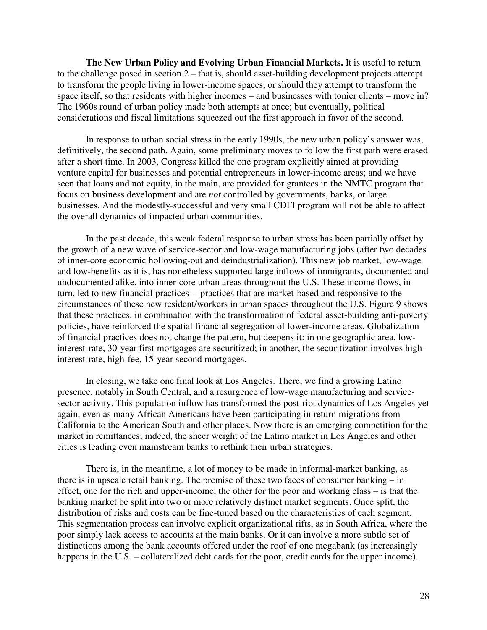**The New Urban Policy and Evolving Urban Financial Markets.** It is useful to return to the challenge posed in section 2 – that is, should asset-building development projects attempt to transform the people living in lower-income spaces, or should they attempt to transform the space itself, so that residents with higher incomes – and businesses with tonier clients – move in? The 1960s round of urban policy made both attempts at once; but eventually, political considerations and fiscal limitations squeezed out the first approach in favor of the second.

In response to urban social stress in the early 1990s, the new urban policy's answer was, definitively, the second path. Again, some preliminary moves to follow the first path were erased after a short time. In 2003, Congress killed the one program explicitly aimed at providing venture capital for businesses and potential entrepreneurs in lower-income areas; and we have seen that loans and not equity, in the main, are provided for grantees in the NMTC program that focus on business development and are *not* controlled by governments, banks, or large businesses. And the modestly-successful and very small CDFI program will not be able to affect the overall dynamics of impacted urban communities.

In the past decade, this weak federal response to urban stress has been partially offset by the growth of a new wave of service-sector and low-wage manufacturing jobs (after two decades of inner-core economic hollowing-out and deindustrialization). This new job market, low-wage and low-benefits as it is, has nonetheless supported large inflows of immigrants, documented and undocumented alike, into inner-core urban areas throughout the U.S. These income flows, in turn, led to new financial practices -- practices that are market-based and responsive to the circumstances of these new resident/workers in urban spaces throughout the U.S. Figure 9 shows that these practices, in combination with the transformation of federal asset-building anti-poverty policies, have reinforced the spatial financial segregation of lower-income areas. Globalization of financial practices does not change the pattern, but deepens it: in one geographic area, lowinterest-rate, 30-year first mortgages are securitized; in another, the securitization involves highinterest-rate, high-fee, 15-year second mortgages.

In closing, we take one final look at Los Angeles. There, we find a growing Latino presence, notably in South Central, and a resurgence of low-wage manufacturing and servicesector activity. This population inflow has transformed the post-riot dynamics of Los Angeles yet again, even as many African Americans have been participating in return migrations from California to the American South and other places. Now there is an emerging competition for the market in remittances; indeed, the sheer weight of the Latino market in Los Angeles and other cities is leading even mainstream banks to rethink their urban strategies.

There is, in the meantime, a lot of money to be made in informal-market banking, as there is in upscale retail banking. The premise of these two faces of consumer banking – in effect, one for the rich and upper-income, the other for the poor and working class – is that the banking market be split into two or more relatively distinct market segments. Once split, the distribution of risks and costs can be fine-tuned based on the characteristics of each segment. This segmentation process can involve explicit organizational rifts, as in South Africa, where the poor simply lack access to accounts at the main banks. Or it can involve a more subtle set of distinctions among the bank accounts offered under the roof of one megabank (as increasingly happens in the U.S. – collateralized debt cards for the poor, credit cards for the upper income).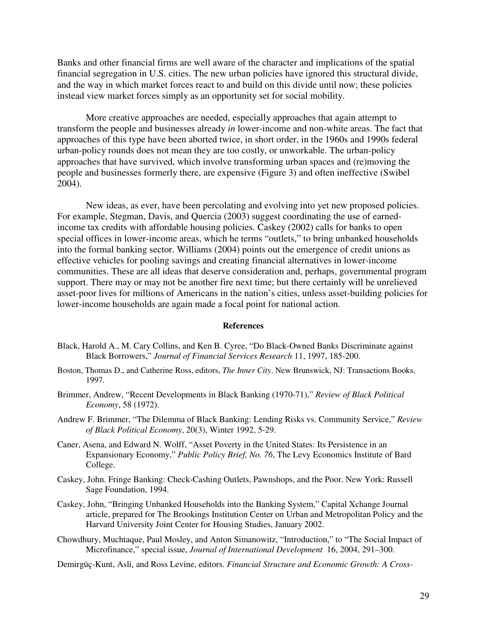Banks and other financial firms are well aware of the character and implications of the spatial financial segregation in U.S. cities. The new urban policies have ignored this structural divide, and the way in which market forces react to and build on this divide until now; these policies instead view market forces simply as an opportunity set for social mobility.

More creative approaches are needed, especially approaches that again attempt to transform the people and businesses already *in* lower-income and non-white areas. The fact that approaches of this type have been aborted twice, in short order, in the 1960s and 1990s federal urban-policy rounds does not mean they are too costly, or unworkable. The urban-policy approaches that have survived, which involve transforming urban spaces and (re)moving the people and businesses formerly there, are expensive (Figure 3) and often ineffective (Swibel 2004).

New ideas, as ever, have been percolating and evolving into yet new proposed policies. For example, Stegman, Davis, and Quercia (2003) suggest coordinating the use of earnedincome tax credits with affordable housing policies. Caskey (2002) calls for banks to open special offices in lower-income areas, which he terms "outlets," to bring unbanked households into the formal banking sector. Williams (2004) points out the emergence of credit unions as effective vehicles for pooling savings and creating financial alternatives in lower-income communities. These are all ideas that deserve consideration and, perhaps, governmental program support. There may or may not be another fire next time; but there certainly will be unrelieved asset-poor lives for millions of Americans in the nation's cities, unless asset-building policies for lower-income households are again made a focal point for national action.

#### **References**

- Black, Harold A., M. Cary Collins, and Ken B. Cyree, "Do Black-Owned Banks Discriminate against Black Borrowers," *Journal of Financial Services Research* 11, 1997, 185-200.
- Boston, Thomas D., and Catherine Ross, editors, *The Inner City*. New Brunswick, NJ: Transactions Books, 1997.
- Brimmer, Andrew, "Recent Developments in Black Banking (1970-71)," *Review of Black Political Economy*, 58 (1972).
- Andrew F. Brimmer, "The Dilemma of Black Banking: Lending Risks vs. Community Service," *Review of Black Political Economy*, 20(3), Winter 1992, 5-29.
- Caner, Asena, and Edward N. Wolff, "Asset Poverty in the United States: Its Persistence in an Expansionary Economy," *Public Policy Brief, No. 76*, The Levy Economics Institute of Bard College.
- Caskey, John. Fringe Banking: Check-Cashing Outlets, Pawnshops, and the Poor. New York: Russell Sage Foundation, 1994.
- Caskey, John, "Bringing Unbanked Households into the Banking System," Capital Xchange Journal article, prepared for The Brookings Institution Center on Urban and Metropolitan Policy and the Harvard University Joint Center for Housing Studies, January 2002.
- Chowdhury, Muchtaque, Paul Mosley, and Anton Simanowitz, "Introduction," to "The Social Impact of Microfinance," special issue, *Journal of International Development* 16, 2004, 291–300.
- Demirgüç-Kunt, Asli, and Ross Levine, editors. *Financial Structure and Economic Growth: A Cross-*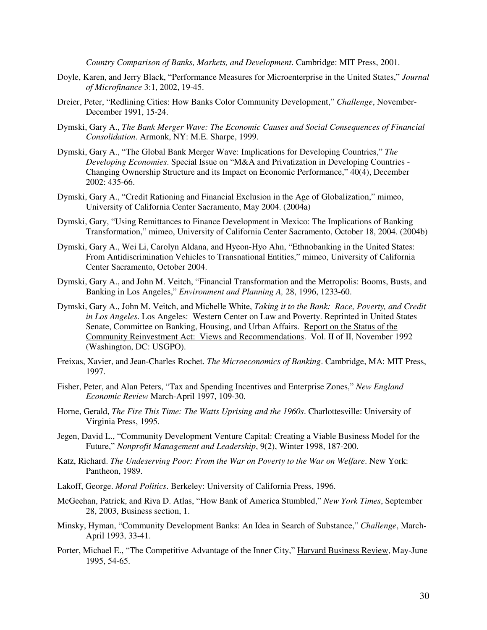*Country Comparison of Banks, Markets, and Development*. Cambridge: MIT Press, 2001.

- Doyle, Karen, and Jerry Black, "Performance Measures for Microenterprise in the United States," *Journal of Microfinance* 3:1, 2002, 19-45.
- Dreier, Peter, "Redlining Cities: How Banks Color Community Development," *Challenge*, November-December 1991, 15-24.
- Dymski, Gary A., *The Bank Merger Wave: The Economic Causes and Social Consequences of Financial Consolidation*. Armonk, NY: M.E. Sharpe, 1999.
- Dymski, Gary A., "The Global Bank Merger Wave: Implications for Developing Countries," *The Developing Economies*. Special Issue on "M&A and Privatization in Developing Countries - Changing Ownership Structure and its Impact on Economic Performance," 40(4), December 2002: 435-66.
- Dymski, Gary A., "Credit Rationing and Financial Exclusion in the Age of Globalization," mimeo, University of California Center Sacramento, May 2004. (2004a)
- Dymski, Gary, "Using Remittances to Finance Development in Mexico: The Implications of Banking Transformation," mimeo, University of California Center Sacramento, October 18, 2004. (2004b)
- Dymski, Gary A., Wei Li, Carolyn Aldana, and Hyeon-Hyo Ahn, "Ethnobanking in the United States: From Antidiscrimination Vehicles to Transnational Entities," mimeo, University of California Center Sacramento, October 2004.
- Dymski, Gary A., and John M. Veitch, "Financial Transformation and the Metropolis: Booms, Busts, and Banking in Los Angeles," *Environment and Planning A,* 28, 1996, 1233-60.
- Dymski, Gary A., John M. Veitch, and Michelle White, *Taking it to the Bank: Race, Poverty, and Credit in Los Angeles*. Los Angeles: Western Center on Law and Poverty. Reprinted in United States Senate, Committee on Banking, Housing, and Urban Affairs. Report on the Status of the Community Reinvestment Act: Views and Recommendations. Vol. II of II, November 1992 (Washington, DC: USGPO).
- Freixas, Xavier, and Jean-Charles Rochet. *The Microeconomics of Banking*. Cambridge, MA: MIT Press, 1997.
- Fisher, Peter, and Alan Peters, "Tax and Spending Incentives and Enterprise Zones," *New England Economic Review* March-April 1997, 109-30.
- Horne, Gerald, *The Fire This Time: The Watts Uprising and the 1960s*. Charlottesville: University of Virginia Press, 1995.
- Jegen, David L., "Community Development Venture Capital: Creating a Viable Business Model for the Future," *Nonprofit Management and Leadership*, 9(2), Winter 1998, 187-200.
- Katz, Richard. *The Undeserving Poor: From the War on Poverty to the War on Welfare*. New York: Pantheon, 1989.
- Lakoff, George. *Moral Politics*. Berkeley: University of California Press, 1996.
- McGeehan, Patrick, and Riva D. Atlas, "How Bank of America Stumbled," *New York Times*, September 28, 2003, Business section, 1.
- Minsky, Hyman, "Community Development Banks: An Idea in Search of Substance," *Challenge*, March-April 1993, 33-41.
- Porter, Michael E., "The Competitive Advantage of the Inner City," Harvard Business Review, May-June 1995, 54-65.